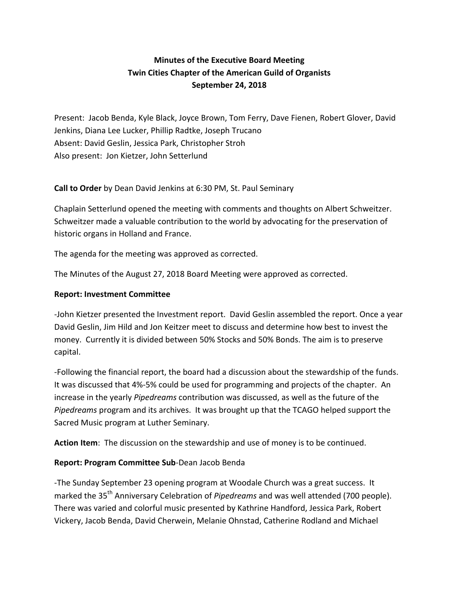# **Minutes of the Executive Board Meeting Twin Cities Chapter of the American Guild of Organists September 24, 2018**

Present: Jacob Benda, Kyle Black, Joyce Brown, Tom Ferry, Dave Fienen, Robert Glover, David Jenkins, Diana Lee Lucker, Phillip Radtke, Joseph Trucano Absent: David Geslin, Jessica Park, Christopher Stroh Also present: Jon Kietzer, John Setterlund

**Call to Order** by Dean David Jenkins at 6:30 PM, St. Paul Seminary

Chaplain Setterlund opened the meeting with comments and thoughts on Albert Schweitzer. Schweitzer made a valuable contribution to the world by advocating for the preservation of historic organs in Holland and France.

The agenda for the meeting was approved as corrected.

The Minutes of the August 27, 2018 Board Meeting were approved as corrected.

## **Report: Investment Committee**

-John Kietzer presented the Investment report. David Geslin assembled the report. Once a year David Geslin, Jim Hild and Jon Keitzer meet to discuss and determine how best to invest the money. Currently it is divided between 50% Stocks and 50% Bonds. The aim is to preserve capital. 

-Following the financial report, the board had a discussion about the stewardship of the funds. It was discussed that 4%-5% could be used for programming and projects of the chapter. An increase in the yearly *Pipedreams* contribution was discussed, as well as the future of the *Pipedreams* program and its archives. It was brought up that the TCAGO helped support the Sacred Music program at Luther Seminary.

**Action Item**: The discussion on the stewardship and use of money is to be continued.

## **Report: Program Committee Sub-**Dean Jacob Benda

-The Sunday September 23 opening program at Woodale Church was a great success. It marked the 35<sup>th</sup> Anniversary Celebration of *Pipedreams* and was well attended (700 people). There was varied and colorful music presented by Kathrine Handford, Jessica Park, Robert Vickery, Jacob Benda, David Cherwein, Melanie Ohnstad, Catherine Rodland and Michael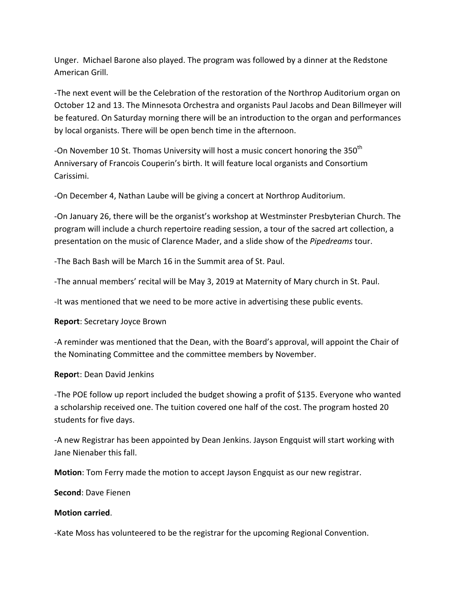Unger. Michael Barone also played. The program was followed by a dinner at the Redstone American Grill.

-The next event will be the Celebration of the restoration of the Northrop Auditorium organ on October 12 and 13. The Minnesota Orchestra and organists Paul Jacobs and Dean Billmeyer will be featured. On Saturday morning there will be an introduction to the organ and performances by local organists. There will be open bench time in the afternoon.

-On November 10 St. Thomas University will host a music concert honoring the 350<sup>th</sup> Anniversary of Francois Couperin's birth. It will feature local organists and Consortium Carissimi. 

-On December 4, Nathan Laube will be giving a concert at Northrop Auditorium.

-On January 26, there will be the organist's workshop at Westminster Presbyterian Church. The program will include a church repertoire reading session, a tour of the sacred art collection, a presentation on the music of Clarence Mader, and a slide show of the *Pipedreams* tour.

-The Bach Bash will be March 16 in the Summit area of St. Paul.

-The annual members' recital will be May 3, 2019 at Maternity of Mary church in St. Paul.

-It was mentioned that we need to be more active in advertising these public events.

**Report:** Secretary Joyce Brown

-A reminder was mentioned that the Dean, with the Board's approval, will appoint the Chair of the Nominating Committee and the committee members by November.

**Report: Dean David Jenkins** 

-The POE follow up report included the budget showing a profit of \$135. Everyone who wanted a scholarship received one. The tuition covered one half of the cost. The program hosted 20 students for five days.

-A new Registrar has been appointed by Dean Jenkins. Jayson Engquist will start working with Jane Nienaber this fall.

**Motion**: Tom Ferry made the motion to accept Jayson Engquist as our new registrar.

**Second:** Dave Fienen

#### **Motion carried**.

-Kate Moss has volunteered to be the registrar for the upcoming Regional Convention.